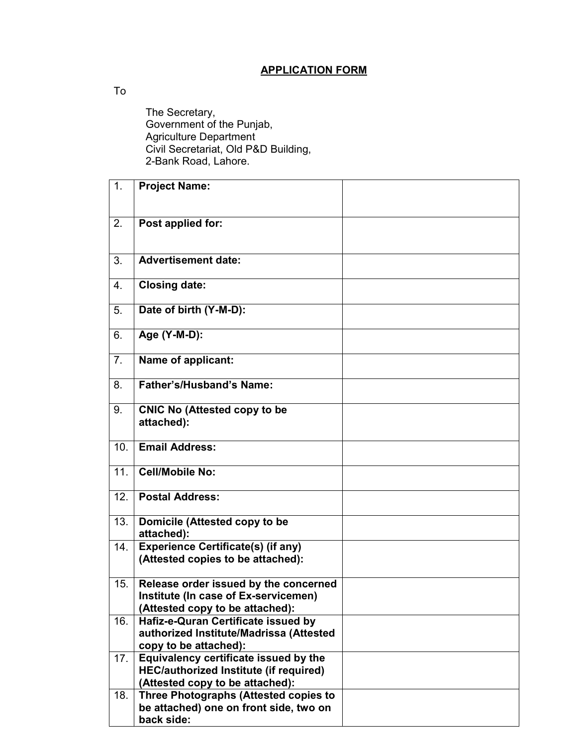## **APPLICATION FORM**

To

 The Secretary, Government of the Punjab, Agriculture Department Civil Secretariat, Old P&D Building, 2-Bank Road, Lahore.

| 1 <sub>1</sub> | <b>Project Name:</b>                                                                                                      |  |
|----------------|---------------------------------------------------------------------------------------------------------------------------|--|
|                |                                                                                                                           |  |
| 2.             | Post applied for:                                                                                                         |  |
|                |                                                                                                                           |  |
| 3.             | <b>Advertisement date:</b>                                                                                                |  |
| 4.             | <b>Closing date:</b>                                                                                                      |  |
| 5.             | Date of birth (Y-M-D):                                                                                                    |  |
| 6.             | Age (Y-M-D):                                                                                                              |  |
| 7 <sub>1</sub> | Name of applicant:                                                                                                        |  |
| 8.             | Father's/Husband's Name:                                                                                                  |  |
| 9.             | <b>CNIC No (Attested copy to be</b><br>attached):                                                                         |  |
| 10.            | <b>Email Address:</b>                                                                                                     |  |
| 11.            | <b>Cell/Mobile No:</b>                                                                                                    |  |
| 12.            | <b>Postal Address:</b>                                                                                                    |  |
| 13.            | Domicile (Attested copy to be<br>attached):                                                                               |  |
| 14.            | <b>Experience Certificate(s) (if any)</b><br>(Attested copies to be attached):                                            |  |
| 15.            | Release order issued by the concerned<br>Institute (In case of Ex-servicemen)<br>(Attested copy to be attached):          |  |
| 16.            | Hafiz-e-Quran Certificate issued by<br>authorized Institute/Madrissa (Attested<br>copy to be attached):                   |  |
| 17.            | Equivalency certificate issued by the<br><b>HEC/authorized Institute (if required)</b><br>(Attested copy to be attached): |  |
| 18.            | Three Photographs (Attested copies to<br>be attached) one on front side, two on<br>back side:                             |  |